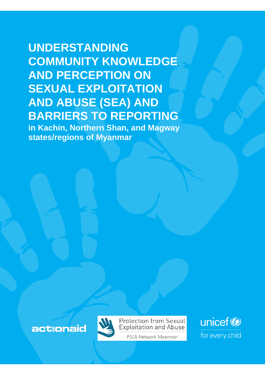# **UNDERSTANDING COMMUNITY KNOWLEDGE AND PERCEPTION ON SEXUAL EXPLOITATION AND ABUSE (SEA) AND BARRIERS TO REPORTING**

**in Kachin, Northern Shan, and Magway states/regions of Myanmar**





**Protection from Sexual Exploitation and Abuse** 

PSEA Network Myanmar

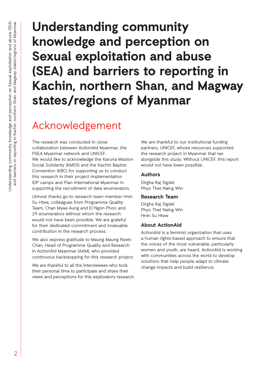**Understanding community knowledge and perception on Sexual exploitation and abuse (SEA) and barriers to reporting in Kachin, northern Shan, and Magway states/regions of Myanmar** 

# Acknowledgement

The research was conducted in close collaboration between ActionAid Myanmar, the PSEA Myanmar network and UNICEF. We would like to acknowledge the Karuna Mission Social Solidarity (KMSS) and the Kachin Baptist Convention (KBC) for supporting us to conduct this research in their project implementation IDP camps and Plan International Myanmar in supporting the recruitment of data enumerators.

Utmost thanks go to research team member Hnin Su Htwe, colleagues from Programme Quality Team, Chan Myae Aung and Ei Ngon Phoo and 29 enumerators without whom the research would not have been possible. We are grateful for their dedicated commitment and invaluable contribution in the research process.

We also express gratitude to Maung Maung Nyein Chan, Head of Programme Quality and Research in ActionAid Myanmar (AAM), who provided continuous backstopping for this research project.

We are thankful to all the interviewees who took their personal time to participate and share their views and perceptions for this exploratory research.

We are thankful to our institutional funding partners, UNICEF, whose resources supported the research project in Myanmar that ran alongside this study. Without UNICEF, this report would not have been possible.

## **Authors**

Dirgha Raj Sigdel Phyo Thet Naing Win

## **Research Team**

Dirgha Raj Sigdel Phyo Thet Naing Win Hnin Su Htwe

## **About ActionAid**

ActionAid is a feminist organization that uses a human rights-based approach to ensure that the voices of the most vulnerable, particularly women and youth, are heard. ActionAid is working with communities across the world to develop solutions that help people adapt to climate change impacts and build resilience.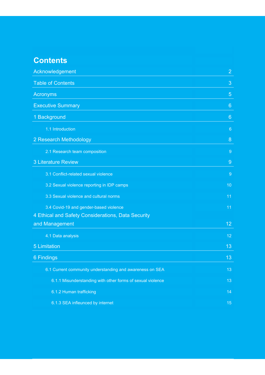# **Contents**

| Acknowledgement                                            |                 |  |
|------------------------------------------------------------|-----------------|--|
| <b>Table of Contents</b>                                   | 3               |  |
| <b>Acronyms</b>                                            | $\overline{5}$  |  |
| <b>Executive Summary</b>                                   | $6\phantom{1}6$ |  |
| 1 Background                                               | $6\phantom{1}6$ |  |
| 1.1 Introduction                                           | $6\phantom{1}6$ |  |
| 2 Research Methodology                                     | 8               |  |
| 2.1 Research team composition                              | $\overline{9}$  |  |
| <b>3 Literature Review</b>                                 | 9               |  |
| 3.1 Conflict-related sexual violence                       | $\overline{9}$  |  |
| 3.2 Sexual violence reporting in IDP camps                 | 10              |  |
| 3.3 Sexual violence and cultural norms                     | 11              |  |
| 3.4 Covid-19 and gender-based violence                     | 11              |  |
| 4 Ethical and Safety Considerations, Data Security         |                 |  |
| and Management                                             | 12              |  |
| 4.1 Data analysis                                          | 12              |  |
| <b>5 Limitation</b>                                        | 13              |  |
| 6 Findings                                                 | 13              |  |
| 6.1 Current community understanding and awareness on SEA   | 13              |  |
| 6.1.1 Misunderstanding with other forms of sexual violence | 13              |  |
| 6.1.2 Human trafficking                                    | 14              |  |
| 6.1.3 SEA infleunced by internet                           | 15              |  |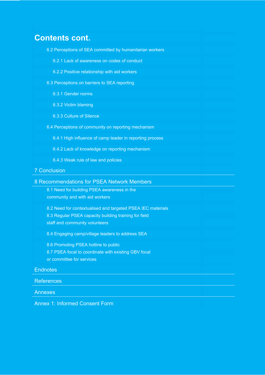# **Contents cont.**

- 6.2 Perceptions of SEA committed by humanitarian workers
	- 6.2.1 Lack of awareness on codes of conduct
	- 6.2.2 Positive relationship with aid workers
- 6.3 Perceptions on barriers to SEA reporting
	- 6.3.1 Gender norms
	- 6.3.2 Victim blaming 16
	- 6.3.3 Culture of Silence
- 6.4 Perceptions of community on reporting mechanism
	- 6.4.1 High influence of camp leader in reporting process
	- 6.4.2 Lack of knowledge on reporting mechanism
	- 6.4.3 Weak rule of law and policies

#### 7 Conclusion

- 8 Recommendations for PSEA Network Members
	- 8.1 Need for building PSEA awareness in the community and with aid workers
	- 8.2 Need for contextualised and targeted PSEA IEC materials 8.3 Regular PSEA capacity building training for field
	- staff and community volunteers
	- 8.4 Engaging camp/village leaders to address SEA
	- 8.6 Promoting PSEA hotline to public 8.7 PSEA focal to coordinate with existing GBV focal or committee for services

#### Endnotes 25 September 25 September 25 September 25 September 25 September 25 September 25 September 25 Septemb

#### **References**

Annexes 28 September 28 September 28 September 28 September 28 September 28 September 28 September 28 Septembe

Annex 1: Informed Consent Form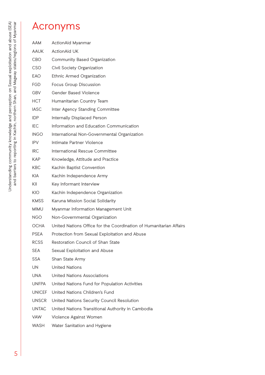# Acronyms

| <b>AAM</b>    | ActionAid Myanmar                                                  |
|---------------|--------------------------------------------------------------------|
| AAUK.         | <b>ActionAid UK</b>                                                |
| <b>CBO</b>    | Community Based Organization                                       |
| CSO           | Civil Society Organization                                         |
| EAO           | Ethnic Armed Organization                                          |
| FGD           | Focus Group Discussion                                             |
| <b>GBV</b>    | Gender Based Violence                                              |
| <b>HCT</b>    | Humanitarian Country Team                                          |
| <b>IASC</b>   | Inter Agency Standing Committee                                    |
| <b>IDP</b>    | Internally Displaced Person                                        |
| IFC.          | Information and Education Communication                            |
| <b>INGO</b>   | International Non-Governmental Organization                        |
| <b>IPV</b>    | Intimate Partner Violence                                          |
| <b>IRC</b>    | International Rescue Committee                                     |
| <b>KAP</b>    | Knowledge, Attitude and Practice                                   |
| <b>KBC</b>    | Kachin Baptist Convention                                          |
| <b>KIA</b>    | Kachin Independence Army                                           |
| KII           | Key Informant Interview                                            |
| <b>KIO</b>    | Kachin Independence Organization                                   |
| <b>KMSS</b>   | Karuna Mission Social Solidarity                                   |
| <b>MIMU</b>   | Myanmar Information Management Unit                                |
| NGO.          | Non-Governmental Organization                                      |
| <b>OCHA</b>   | United Nations Office for the Coordination of Humanitarian Affairs |
| <b>PSEA</b>   | Protection from Sexual Exploitation and Abuse                      |
| <b>RCSS</b>   | Restoration Council of Shan State                                  |
| <b>SEA</b>    | Sexual Exploitation and Abuse                                      |
| <b>SSA</b>    | Shan State Army                                                    |
| UN.           | <b>United Nations</b>                                              |
| <b>UNA</b>    | United Nations Associations                                        |
| UNFPA         | United Nations Fund for Population Activities                      |
| <b>UNICEF</b> | United Nations Children's Fund                                     |
| <b>UNSCR</b>  | United Nations Security Council Resolution                         |
| <b>UNTAC</b>  | United Nations Transitional Authority in Cambodia                  |
| <b>VAW</b>    | Violence Against Women                                             |
| WASH          | Water Sanitation and Hygiene                                       |
|               |                                                                    |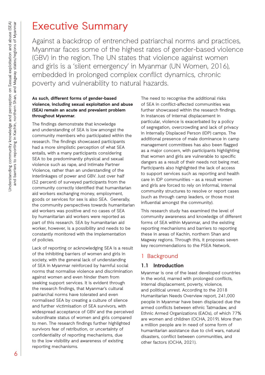# Executive Summary

Against a backdrop of entrenched patriarchal norms and practices, Myanmar faces some of the highest rates of gender-based violence (GBV) in the region. The UN states that violence against women and girls is a 'silent emergency' in Myanmar (UN Women, 2016), embedded in prolonged complex conflict dynamics, chronic poverty and vulnerability to natural hazards.

#### **As such, different forms of gender-based violence, including sexual exploitation and abuse (SEA) remain an acute and prevalent problem throughout Myanmar.**

The findings demonstrate that knowledge and understanding of SEA is low amongst the community members who participated within the research. The findings showcased participants had a more simplistic perception of what SEA entails, with a many participants considering SEA to be predominantly physical and sexual violence such as rape, and Intimate Partner Violence, rather than an understanding of the interlinkages of power and GBV. Just over half (52 percent) of surveyed participants from the community correctly identified that humanitarian aid workers exchanging money, employment, goods or services for sex is also SEA. Generally, the community perspectives towards humanitarian aid workers was positive and no cases of SEA by humanitarian aid workers were reported as part of this research. SEA by humanitarian aid worker, however, is a possibility and needs to be constantly monitored with the implementation of policies.

Lack of reporting or acknowledging SEA is a result of the inhibiting barriers of women and girls in society, with the general lack of understanding of SEA in Myanmar reinforced by harmful social norms that normalise violence and discrimination against women and even hinder them from seeking support services. It is evident through the research findings, that Myanmar's cultural patriarchal norms have tolerated and even normalised SEA by creating a culture of silence and further victimisation of SEA survivors, with widespread acceptance of GBV and the perceived subordinate status of women and girls compared to men. The research findings further highlighted survivors fear of retribution, or uncertainty of confidentiality of reporting mechanisms, due to the low visibility and awareness of existing reporting mechanisms.

The need to recognise the additional risks of SEA in conflict-affected communities was further showcased within the research findings. In instances of internal displacement in particular, violence is exacerbated by a policy of segregation, overcrowding and lack of privacy in Internally Displaced Person (IDP) camps. The additional presence of male dominance in camp management committees has also been flagged as a major concern, with participants highlighting that women and girls are vulnerable to specific dangers as a result of their needs not being met. Participants also highlighted the lack of access to support services such as reporting and health care in IDP communities – as a result women and girls are forced to rely on informal, internal community structures to resolve or report cases (such as through camp leaders, or those most influential amongst the community).

This research study has examined the level of community awareness and knowledge of different forms of SEA within Myanmar, and the existing reporting mechanisms and barriers to reporting these in areas of Kachin, northern Shan and Magway regions. Through this, it proposes seven key recommendations to the PSEA Network.

## 1 Background

## **1.1 Introduction**

Myanmar is one of the least developed countries in the world, marred with prolonged conflicts, internal displacement, poverty, violence, and political unrest. According to the 2018 Humanitarian Needs Overview report, 241,000 people in Myanmar have been displaced due the armed conflicts between ethnic Tatmadaw, and Ethnic Armed Organizations (EAOs), of which 77% are women and children (OCHA, 2019). More than a million people are in need of some form of humanitarian assistance due to civil wars, natural disasters, conflict between communities, and other factors (OCHA, 2021).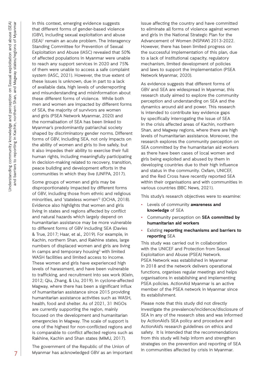In this context, emerging evidence suggests that different forms of gender-based violence (GBV), including sexual exploitation and abuse (SEA)<sup>1</sup> remain an acute problem. The Interagency Standing Committee for Prevention of Sexual Exploitation and Abuse (IASC) revealed that 50% of affected populations in Myanmar were unable to reach any support services in 2020 and 75% of them were unable to access a safe complaint system (IASC, 2021). However, the true extent of these issues is unknown, due in part to a lack of available data, high levels of underreporting and misunderstanding and misinformation about these different forms of violence. While both men and women are impacted by different forms of SEA, the majority of survivors are women and girls (PSEA Network Myanmar, 2020) and the normalisation of SEA has been linked to Myanmar's predominantly patriarchal society shaped by discriminatory gender norms. Different forms of GBV, including SEA, not only impacts on the ability of women and girls to live safely, but it also impedes their ability to exercise their full human rights, including meaningfully participating in decision-making related to recovery, transition, peace building and development efforts in the communities in which they live (UNFPA, 2017).

Some groups of women and girls may be disproportionately impacted by different forms of GBV, including those from ethnic and religious minorities, and 'stateless women'<sup>2</sup> (OCHA, 2018). Evidence also highlights that women and girls living in states and regions affected by conflict and natural hazards which largely depend on humanitarian assistance may be more vulnerable to different forms of GBV including SEA (Davies & True, 2017; Haar, et al., 2019). For example, in Kachin, northern Shan, and Rakhine states, large numbers of displaced women and girls are living in camps and temporary housing $^3$  with limited WASH facilities and limited access to income. These women and girls have experienced high levels of harassment, and have been vulnerable to trafficking, and recruitment into sex work (Klein, 2012; Qiu, Zhang, & Liu, 2019). In cyclone-affected Magway, where there has been a significant influx of humanitarian assistance since 2015 providing humanitarian assistance activities such as WASH, health, food and shelter. As of 2021, 31 INGOs are currently supporting the region, mainly focused on the development and humanitarian emergencies in Magway. The scale of support is one of the highest for non-conflicted regions and is comparable to conflict affected regions such as Rakhine, Kachin and Shan states (MIMU, 2017).

The government of the Republic of the Union of Myanmar has acknowledged GBV as an important

issue affecting the country and have committed to eliminate all forms of violence against women and girls in the National Strategic Plan for the Advancement of Women (NSPAW) 2013-2022. However, there has been limited progress on the successful implementation of this plan, due to a lack of institutional capacity, regulatory mechanism, limited development of policies and laws to support the implementation (PSEA Network Myanmar, 2020).

As evidence suggests that different forms of GBV and SEA are widespread in Myanmar, this research study aimed to explore the community perception and understanding on SEA and the dynamics around aid and power. This research is intended to contribute key evidence gaps by specifically interrogating the issue of SEA in the crisis affected areas of Kachin, northern Shan, and Magway regions, where there are high levels of humanitarian assistance. Moreover, the research explores the community perception on SEA committed by the humanitarian aid workers as there have been cases of local women and girls being exploited and abused by them in developing countries due to their high influence and status in the community. Oxfam, UNICEF, and the Red Cross have recently reported SEA within their organisations and with communities in various countries (BBC News, 2021).

This study's research objectives were to examine:

- Levels of community **awareness and knowledge** of SEA
- Community perception on **SEA committed by humanitarian aid workers**
- Existing **reporting mechanisms and barriers to reporting** SEA

This study was carried out in collaboration with the UNICEF and Protection from Sexual Exploitation and Abuse (PSEA) Network. PSEA Network was established in Myanmar in 2018 and the network delivers operational functions, organises regular meetings and helps organisations in establishing and implementing PSEA policies. ActionAid Myanmar is an active member of the PSEA network in Myanmar since its establishment.

Please note that this study did not directly investigate the prevalence/incidence/disclosure of SEA in any of the research sites and was informed by ActionAid's SEA policy and procedure and ActionAid's research guidelines on ethics and safety. It is intended that the recommendations from this study will help inform and strengthen strategies on the prevention and reporting of SEA in communities affected by crisis in Myanmar.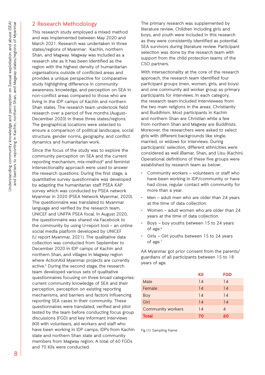## 2 Research Methodology

This research study employed a mixed method and was implemented between May 2020 and March 2021. Research was undertaken in three states/regions of Myanmar: Kachin, northern Shan, and Magway. Magway was included as a research site as it has been identified as the region with the highest density of humanitarian organisations outside of conflicted areas and provides a unique perspective for comparative study highlighting difference in community awareness, knowledge, and perception on SEA in non-conflict areas compared to those who are living in the IDP camps of Kachin and northern Shan states. The research team undertook field research over a period of five months (August– December 2020) in these three states/regions. The geographical locations were selected to ensure a comparison of political landscape, social structure, gender norms, geography, and conflict dynamics and humanitarian work.

Since the focus of the study was to explore the community perception on SEA and the current reporting mechanism, mix-method<sup>4</sup> and feminist intersectionality approach were used to answer the research questions. During the first stage, a quantitative survey questionnaire was developed by adapting the humanitarian staff PSEA KAP survey which was conducted by PSEA network Myanmar in 2020 (PSEA Network Myanmar, 2020). The questionnaire was translated to Myanmar language and verified by the research team, UNICEF and UNFPA PSEA focal. In August 2020, the questionnaire was shared via Facebook to the community by using U-report tool – an online social media platform developed by UNICEF (U report Myanmar, 2021). The qualitative data collection was conducted from September to December 2020 in IDP camps of Kachin and northern Shan, and villages in Magway region where ActionAid Myanmar projects are currently active.<sup>5</sup> During the second stage, the research team developed various sets of qualitative questionnaires focusing on three broad categories: current community knowledge of SEA and their perception, perception on existing reporting mechanisms, and barriers and factors influencing reporting SEA cases in their community. These questionnaires were translated, verified and pilot tested by the team before conducting focus group discussions (FGD) and key informant interviews (KII) with volunteers, aid workers and staff who have been working in IDP camps, IDPs from Kachin state and northern Shan state and community members from Magway region. A total of 60 FGDs and 70 KIIs were conducted.

The primary research was supplemented by literature review. Children including girls and boys, and youth were included in this research as they were consistently identified as potential SEA survivors during literature review. Participant selection was done by the research team with support from the child protection teams of the CSO partners.

With intersectionality at the core of the research approach, the research team identified four participant groups (men, women, girls, and boys) and one community aid worker group as primary participants for interviews. In each category, the research team included interviewees from the two main religions in the areas: Christianity and Buddhism. Most participants in Kachin and northern Shan are Christian while a few from northern Shan and Magway are Buddhists. Moreover, the researchers were asked to select girls with different backgrounds like single, married, or widows for interviews. During participants' selection, different ethnicities were considered as well (Bamar, Shan, and Lisu (Kachin). Operational definitions of these five groups were established by research team as below:

- Community workers volunteers or staff who have been working in IDP/community or have had close, regular contact with community for more than a year.
- Men adult men who are older than 24 years at the time of data collection.
- Women adult women who are older than 24 years at the time of data collection.
- Boys boy youths between 15 to 24 years of age.<sup>6</sup>
- Girls Girl youths between 15 to 24 years of age.<sup>7</sup>

AA Myanmar got prior consent from the parents/ guardians of all participants between 15 to 18 years of age.

|                          | KII | <b>FGD</b> |
|--------------------------|-----|------------|
| Male                     | 14  | 14         |
| Female                   | 14  | 14         |
| Boy                      | 14  | 14         |
| Girl                     | 14  | 14         |
| <b>Community workers</b> | 14  | 4          |
| <b>Total</b>             | 70  | 60         |

Fig (1): Sampling frame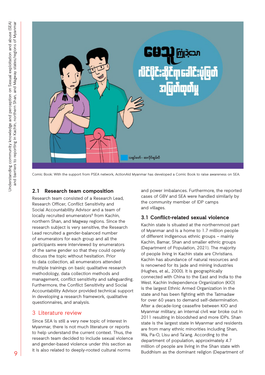

Comic Book: With the support from PSEA network, ActionAid Myanmar has developed a Comic Book to raise awareness on SEA.

## **2.1 Research team composition**

Research team consisted of a Research Lead, Research Officer, Conflict Sensitivity and Social Accountability Advisor and a team of locally recruited enumerators<sup>8</sup> from Kachin, northern Shan, and Magway regions. Since the research subject is very sensitive, the Research Lead recruited a gender-balanced number of enumerators for each group and all the participants were interviewed by enumerators of the same gender so that they could openly discuss the topic without hesitation. Prior to data collection, all enumerators attended multiple trainings on basic qualitative research methodology, data collection methods and management, conflict sensitivity and safeguarding. Furthermore, the Conflict Sensitivity and Social Accountability Advisor provided technical support in developing a research framework, qualitative questionnaires, and analysis.

## 3 Literature review

Since SEA is still a very new topic of interest in Myanmar, there is not much literature or reports to help understand the current context. Thus, the research team decided to include sexual violence and gender-based violence under this section as it is also related to deeply-rooted cultural norms

and power imbalances. Furthermore, the reported cases of GBV and SEA were handled similarly by the community member of IDP camps and villages.

## **3.1 Conflict-related sexual violence**

Kachin state is situated at the northernmost part of Myanmar and is a home to 1.7 million people of different indigenous ethnic groups – mainly Kachin, Bamar, Shan and smaller ethnic groups (Department of Population, 2021). The majority of people living in Kachin state are Christians. Kachin has abundance of natural resources and is renowned for its jade and mining industries (Hughes, et al., 2000). It is geographically connected with China to the East and India to the West. Kachin Independence Organization (KIO) is the largest Ethnic Armed Organization in the state and has been fighting with the Tatmadaw for over 60 years to demand self-determination. After a decade-long ceasefire between KIO and Myanmar military, an internal civil war broke out in 2011 resulting in bloodshed and more IDPs. Shan state is the largest state in Myanmar and residents are from many ethnic minorities including Shan, Wa, Pa-O, Lisu and Ta'ang. According to the department of population, approximately 4.7 million of people are living in the Shan state with Buddhism as the dominant religion (Department of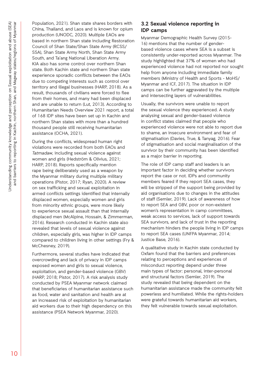Population, 2021). Shan state shares borders with China, Thailand, and Laos and is known for opium production (UNODC, 2020). Multiple EAOs are based in northern Shan state including Restoration Council of Shan State/Shan State Army (RCSS/ SSA), Shan State Army North, Shan State Army South, and Ta'ang National Liberation Army. KIA also has some control over northern Shan state. Both Kachin state and northern Shan state experience sporadic conflicts between the EAOs due to competing interests such as control over territory and illegal businesses (HARP, 2018). As a result, thousands of civilians were forced to flee from their homes, and many had been displaced and are unable to return (Lut, 2013). According to Humanitarian Needs Overview 2021 report, a total of 168 IDP sites have been set up in Kachin and northern Shan states with more than a hundred thousand people still receiving humanitarian assistance (OCHA, 2021).

During the conflicts, widespread human right violations were recorded from both EAOs and *Tatmadaw*, including sexual violence against women and girls (Hedström & Olivius, 2021; HARP, 2018). Reports specifically mention rape being deliberately used as a weapon by the Myanmar military during multiple military operations (Pistor, 2017; Ryan, 2020). A review on sex trafficking and sexual exploitation in armed conflicts settings identified that internally displaced women, especially women and girls from minority ethnic groups, were more likely to experience sexual assault than that internally displaced men (McAlpine, Hossain, & Zimmerman, 2016). Research conducted in Kachin state also revealed that levels of sexual violence against children, especially girls, was higher in IDP camps compared to children living in other settings (Fry & McChesney, 2019).

Furthermore, several studies have indicated that overcrowding and lack of privacy in IDP camps exposed women and girls to sexual violence, exploitation, and gender-based violence (GBV) (HARP, 2018; Pistor, 2017). A risk analysis study conducted by PSEA Myanmar network claimed that beneficiaries of humanitarian assistance such as food, water and sanitation and health are at an increased risk of exploitation by humanitarian aid workers due to their high dependency on this assistance (PSEA Network Myanmar, 2020).

### **3.2 Sexual violence reporting in IDP camps**

Myanmar Demographic Health Survey (2015- 16) mentions that the number of genderbased violence cases where SEA is a subset is consistently under-reported across Myanmar. The study highlighted that 37% of women who had experienced violence had not reported nor sought help from anyone including immediate family members (Ministry of Health and Sports - MoHS/ Myanmar and ICF, 2017). The situation in IDP camps can be further aggravated by the multiple and intersecting layers of vulnerabilities.

Usually, the survivors were unable to report the sexual violence they experienced. A study analysing sexual and gender-based violence in conflict states claimed that people who experienced violence were not able to report due to shame, an insecure environment and fear of stigmatisation (Davies, True, & Tanyag, 2016). Fear of stigmatisation and social marginalisation of the survivor by their community has been identified as a major barrier in reporting.

The role of IDP camp staff and leaders is an important factor in deciding whether survivors report the case or not. IDPs and community members feared if they report SEA cases, they will be stripped of the support being provided by aid organisations due to changes in the attitudes of staff (Semler, 2019). Lack of awareness of how to report SEA and GBV, poor or non-existent women's representation in camp committees, weak access to services, lack of support towards SEA survivors, and lack of trust in the reporting mechanism hinders the people living in IDP camps to report SEA cases (UNFPA Myanmar, 2014; Justice Base, 2016).

A qualitative study in Kachin state conducted by Oxfam found that the barriers and preferences relating to perceptions and experiences of misconduct reporting depend under three main types of factor: personal, inter-personal and structural factors (Semler, 2019). The study revealed that being dependent on the humanitarian assistance made the community felt powerless and humiliated. While the rights-holders were grateful towards humanitarian aid workers, they felt vulnerable towards sexual exploitation.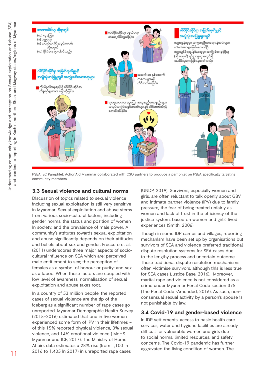

PSEA IEC Pamphlet: ActionAid Myanmar collaborated with CSO partners to produce a pamphlet on PSEA specifically targeting community members.

## **3.3 Sexual violence and cultural norms**

Discussion of topics related to sexual violence including sexual exploitation is still very sensitive in Myanmar. Sexual exploitation and abuse stems from various socio-cultural factors, including gender norms, the status and position of women in society, and the prevalence of male power. A community's attitutes towards sexual exploitation and abuse significantly depends on their attitudes and beliefs about sex and gender. Freccero et al. (2011) underscores three major aspects of sociocultural influence on SEA which are: perceived male entitlement to sex; the perception of females as a symbol of honour or purity; and sex as a taboo. When these factors are coupled with low level of awareness, normalisation of sexual exploitation and abuse takes root.

In a country of 53 million people, the reported cases of sexual violence are the tip of the iceberg as a significant number of rape cases go unreported. Myanmar Demographic Health Survey (2015–2016) estimated that one in five women experienced some form of IPV in their lifetimes – of this 15% reported physical violence, 3% sexual violence, and 14% emotional violence ( MoHS Myanmar and ICF, 2017). The Ministry of Home Affairs data estimates a 28% rise (from 1,100 in 2016 to 1,405 in 2017) in unreported rape cases

(UNDP, 2019). Survivors, especially women and girls, are often reluctant to talk openly about GBV and intimate partner violence (IPV) due to family pressure, the fear of being treated unfairly as women and lack of trust in the efficiency of the justice system, based on women and girls' lived experiences (Smith, 2006).

Though in some IDP camps and villages, reporting mechanism have been set up by organisations but survivors of SEA and violence preferred traditional dispute resolution systems for SEA cases due to the lengthy process and uncertain outcome. These traditional dispute resolution mechanisms often victimise survivors, although this is less true for SEA cases (Justice Base, 2016). Moreover, marital rape and violence is not considered as a crime under Myanmar Penal Code section 375 (The Penal Code -Amended, 2016). As such, nonconsensual sexual activity by a person's spouse is not punishable by law.

## **3.4 Covid-19 and gender-based violence**

In IDP settlements, access to basic health care services, water and hygiene facilities are already difficult for vulnerable women and girls due to social norms, limited resources, and safety concerns. The Covid-19 pandemic has further aggravated the living condition of women. The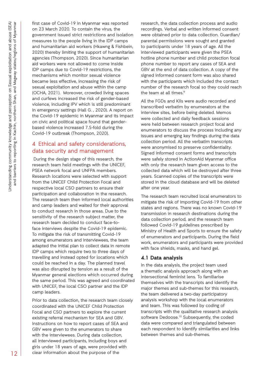first case of Covid-19 in Myanmar was reported on 23 March 2020. To contain the virus, the government issued strict restrictions and isolation measures to the people living in the IDP camps and humanitarian aid workers (Hkawng & Fishbein, 2020) thereby limiting the support of humanitarian agencies (Thompson, 2020). Since humanitarian aid workers were not allowed to come inside IDP camps due to Covid-19 restrictions, the mechanisms which monitor sexual violence became less effective, increasing the risk of sexual exploitation and abuse within the camp (OCHA, 2021). Moreover, crowded living spaces and curfews increased the risk of gender-based violence, including IPV which is still predominant in emergency settings (Hall G. , 2020). A report on the Covid-19 epidemic in Myanmar and its impact on civic and political space found that genderbased violence increased 7.5-fold during the Covid-19 outbreak (Thompson, 2020).

## 4 Ethical and safety considerations, data security and management

 During the design stage of this research, the research team held meetings with the UNICEF, PSEA network focal and UNFPA members. Research locations were selected with support from the UNICEF Child Protection Focal and respective local CSO partners to ensure their participation and collaboration in the research. The research team then informed local authorities and camp leaders and waited for their approval to conduct research in those areas. Due to the sensitivity of the research subject matter, the research team decided to conduct face-toface interviews despite the Covid-19 epidemic. To mitigate the risk of transmitting Covid-19 among enumerators and interviewees, the team adapted the initial plan to collect data in remote IDP camps which require two to three days of travelling and instead opted for locations which could be reached in a day. The planned travel was also disrupted by tension as a result of the Myanmar general elections which occurred during the same period. This was agreed and coordinated with UNICEF, the local CSO partner and the IDP camp leaders.

Prior to data collection, the research team closely coordinated with the UNICEF Child Protection Focal and CSO partners to explore the current existing referral mechanism for SEA and GBV. Instructions on how to report cases of SEA and GBV were given to the enumerators to share with the interviewees. During data collection, all interviewed participants, including boys and girls under 18 years of age, were provided with clear information about the purpose of the

research, the data collection process and audio recordings. Verbal and written informed consent were obtained prior to data collection. Guardian/ parental permissions were sought and granted to participants under 18 years of age. All the interviewed participants were given the PSEA hotline phone number and child protection focal phone number to report any cases of SEA and GBV at the end of data collection. A copy of the signed informed consent form was also shared with the participants which included the contact number of the research focal so they could reach the team at all times. $^{\circ}$ 

All the FGDs and KIIs were audio recorded and transcribed verbatim by enumerators at the interview sites, before being deleted. Memos were collected and daily feedback sessions were held between research project focal and enumerators to discuss the process including any issues and emerging key findings during the data collection period. All the verbatim transcripts were anonymised to preserve confidentiality. Signed informed consent forms and transcripts were safely stored in ActionAid Myanmar office with only the research team given access to the collected data which will be destroyed after three years. Scanned copies of the transcripts were stored in the cloud database and will be deleted after one year.

The research team recruited local enumerators to mitigate the risk of importing Covid-19 from other states and regions. There was no known Covid-19 transmission in research destinations during the data collection period, and the research team followed Covid-19 guidelines prescribed by Ministry of Health and Sports to ensure the safety of enumerators and participants. During the field work, enumerators and participants were provided with face shields, masks, and hand gel.

#### **4.1 Data analysis**

In the data analysis, the project team used a thematic analysis approach along with an intersectional feminist lens. To familiarise themselves with the transcripts and identify the major themes and sub-themes for this research, the team delivered a two-day participatory analysis workshop with the local enumerators and team. This was followed by coding of transcripts with the qualitative research analysis software Dedoose.<sup>10</sup> Subsequently, the coded data were compared and triangulated between each respondent to identify similarities and links between themes and sub-themes.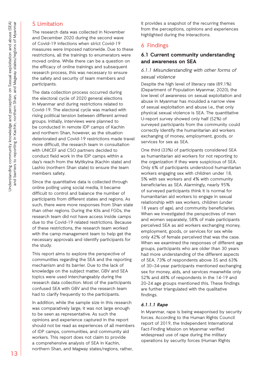## 5 Limitation

The research data was collected in November and December 2020 during the second wave of Covid-19 infections when strict Covid-19 measures were imposed nationwide. Due to these restrictions, all the trainings to enumerators were moved online. While there can be a question on the efficacy of online trainings and subsequent research process, this was necessary to ensure the safety and security of team members and participants.

The data collection process occurred during the electoral cycle of 2020 general elections in Myanmar and during restrictions related to Covid-19. The electoral cycle was marked with rising political tension between different armed groups. Initially, interviews were planned to be conducted in remote IDP camps of Kachin and northern Shan, however, as the situation deteriorated and Covid-19 restrictions made travel more difficult, the research team in consultation with UNICEF and CSO partners decided to conduct field work in the IDP camps within a day's reach from the Myitkyina (Kachin state) and Lashio (northern Shan state) to ensure the team members safety.

Since the quantitative data is collected through online polling using social media, it became difficult to control and balance the number of participants from different states and regions. As such, there were more responses from Shan state than other regions. During the KIIs and FGDs, the research team did not have access inside camps due to the Covid-19 related restrictions. Because of these restrictions, the research team worked with the camp management team to help get the necessary approvals and identify participants for the study.

This report aims to explore the perspective of communities regarding the SEA and the reporting mechanism and its barrier. Due to the lack of knowledge on the subject matter, GBV and SEA topics were used interchangeably during the research data collection. Most of the participants confused SEA with GBV and the research team had to clarify frequently to the participants.

In addition, while the sample size in this research was comparatively large, it was not large enough to be seen as representative. As such the opinions and experience captured in the report should not be read as experiences of all members of IDP camps, communities, and community aid workers. This report does not claim to provide a comprehensive analysis of SEA in Kachin, northern Shan, and Magway states/regions, rather,

it provides a snapshot of the recurring themes from the perceptions, opinions and experiences highlighted during the interactions.

# 6 Findings

## **6.1 Current community understanding and awareness on SEA**

## *6.1.1 Misunderstanding with other forms of sexual violence*

Despite the high level of literacy rate (89.1%) (Department of Population Myanmar, 2020), the low level of awareness on sexual exploitation and abuse in Myanmar has moulded a narrow view of sexual exploitation and abuse i.e., that only physical sexual violence is SEA. The quantitative U-report survey showed only half (52%) of surveyed participants from the community could correctly identify the humanitarian aid workers exchanging of money, employment, goods, or services for sex as SEA.

One third (33%) of participants considered SEA as humanitarian aid workers for not reporting to the organization if they were suspicious of SEA. Only 6% of participants understood humanitarian workers engaging sex with children under 18, 5% with sex workers and 4% with community beneficiaries as SEA. Alarmingly, nearly 95% of surveyed participants think it is normal for humanitarian aid workers to engage in sexual relationship with sex workers, children (under 18 years of age), and community beneficiaries. When we investigated the perspectives of men and women separately, 58% of male participants perceived SEA as aid workers exchanging money, employment, goods, or services for sex while only 42% of female perceived that was the case. When we examined the responses of different age groups, participants who are older than 30 years had more understanding of the different aspects of SEA. 73% of respondents above 35 and 63% of 30–34-year participants mentioned exchanging sex for money, aids, and services meanwhile only 52% and 48% of respondents in the 14-19 and 20-24 age groups mentioned this. These findings are further triangulated with the qualitative findings.

## **6.1.1.1 Rape**

In Myanmar, rape is being weaponised by security forces. According to the Human Rights Council report of 2019, the Independent International Fact-Finding Mission on Myanmar verified widespread use of rape during the military operations by security forces (Human Rights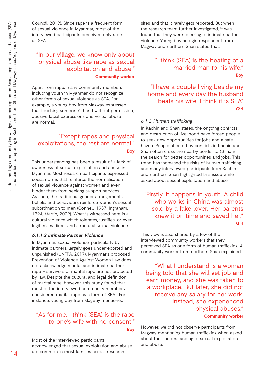Council, 2019). Since rape is a frequent form of sexual violence in Myanmar, most of the interviewed participants perceived only rape as SEA.

# "In our village, we know only about physical abuse like rape as sexual exploitation and abuse." **Community worker**

Apart from rape, many community members including youth in Myanmar do not recognize other forms of sexual violence as SEA. For example, a young boy from Magway expressed that touching someone's hand without permission, abusive facial expressions and verbal abuse are normal.

## "Except rapes and physical exploitations, the rest are normal." **Boy**

This understanding has been a result of a lack of awareness of sexual exploitation and abuse in Myanmar. Most research participants expressed social norms that reinforce the normalisation of sexual violence against women and even hinder them from seeking support services. As such, the traditional gender arrangements, beliefs, and behaviours reinforce women's sexual subordination to men (Connell, 1987; Ingraham, 1994; Martin, 2009). What is witnessed here is a cultural violence which tolerates, justifies, or even legitimises direct and structural sexual violence.

#### **6.1.1.2 Intimate Partner Violence**

In Myanmar, sexual violence, particularly by intimate partners, largely goes underreported and unpunished (UNFPA, 2017). Myanmar's proposed Prevention of Violence Against Women Law does not acknowledge marital and intimate partner rape – survivors of marital rape are not protected by law. Despite the cultural and legal definition of marital rape, however, this study found that most of the interviewed community members considered marital rape as a form of SEA. For instance, young boy from Magway mentioned,

# "As for me, I think (SEA) is the rape to one's wife with no consent."

**Boy**

Most of the interviewed participants acknowledged that sexual exploitation and abuse are common in most families across research

sites and that it rarely gets reported. But when the research team further investigated, it was found that they were referring to intimate partner violence. Young boy and girl respondent from Magway and northern Shan stated that,

## "I think (SEA) is the beating of a married man to his wife." **Boy**

"I have a couple living beside my home and every day the husband beats his wife. I think it is SEA" **Girl**

#### *6.1.2 Human trafficking*

In Kachin and Shan states, the ongoing conflicts and destruction of livelihood have forced people to seek new opportunities for jobs and a safe haven. People affected by conflicts in Kachin and Shan often cross the nearby border to China in the search for better opportunities and jobs. This trend has increased the risks of human trafficking and many interviewed participants from Kachin and northern Shan highlighted this issue while asked about sexual exploitation and abuse.

"Firstly, it happens in youth. A child who works in China was almost sold by a fake lover. Her parents knew it on time and saved her." **Girl**

This view is also shared by a few of the interviewed community workers that they perceived SEA as one form of human trafficking. A community worker from northern Shan explained,

"What I understand is a woman being told that she will get job and earn money, and she was taken to a workplace. But later, she did not receive any salary for her work. Instead, she experienced physical abuses."

#### **Community worker**

However, we did not observe participants from Magway mentioning human trafficking when asked about their understanding of sexual exploitation and abuse.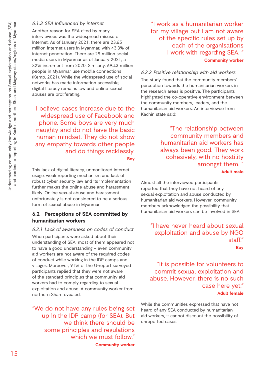### *6.1.3 SEA influenced by internet*

Another reason for SEA cited by many interviewees was the widespread misuse of internet. As of January 2021, there are 23.65 million internet users in Myanmar, with 43.3% of internet penetration. There are 29 million social media users in Myanmar as of January 2021, a 32% increment from 2020. Similarly, 69.43 million people in Myanmar use mobile connections (Kemp, 2021). While the widespread use of social networks has made information accessible, digital literacy remains low and online sexual abuses are proliferating.

I believe cases increase due to the widespread use of Facebook and phone. Some boys are very much naughty and do not have the basic human mindset. They do not show any empathy towards other people and do things recklessly. **Boy**

This lack of digital literacy, unmonitored internet usage, weak reporting mechanism and lack of robust cyber security law and its implementation further makes the online abuse and harassment likely. Online sexual abuse and harassment unfortunately is not considered to be a serious form of sexual abuse in Myanmar.

## **6.2 Perceptions of SEA committed by humanitarian workers**

*6.2.1 Lack of awareness on codes of conduct* When participants were asked about their understanding of SEA, most of them appeared not to have a good understanding – even community aid workers are not aware of the required codes of conduct while working in the IDP camps and villages. Moreover, 91% of the U-report surveyed participants replied that they were not aware of the standard principles that community aid workers had to comply regarding to sexual exploitation and abuse. A community worker from northern Shan revealed:

"We do not have any rules being set up in the IDP camp (for SEA). But we think there should be some principles and regulations which we must follow." **Community worker**

"I work as a humanitarian worker for my village but I am not aware of the specific rules set up by each of the organisations I work with regarding SEA. " **Community worker** 

*6.2.2 Positive relationship with aid workers* The study found that the community members' perception towards the humanitarian workers in the research areas is positive. The participants highlighted the co-operative environment between the community members, leaders, and the humanitarian aid workers. An interviewee from Kachin state said:

> "The relationship between community members and humanitarian aid workers has always been good. They work cohesively, with no hostility amongst them. "

> > **Adult male**

Almost all the interviewed participants reported that they have not heard of any sexual exploitation and abuse conducted by humanitarian aid workers. However, community members acknowledged the possibility that humanitarian aid workers can be involved in SEA.

"I have never heard about sexual exploitation and abuse by NGO staff." **Boy**

"It is possible for volunteers to commit sexual exploitation and abuse. However, there is no such case here yet."

#### **Adult female**

While the communities expressed that have not heard of any SEA conducted by humanitarian aid workers, it cannot discount the possibility of unreported cases.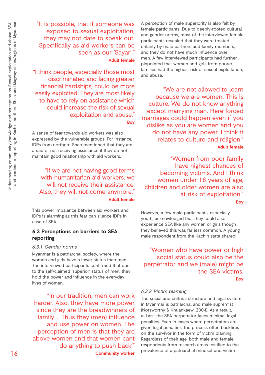"It is possible, that if someone was exposed to sexual exploitation, they may not date to speak out. Specifically as aid workers can be seen as our 'Sayar'." **Adult female**

"I think people, especially those most discriminated and facing greater financial hardships, could be more easily exploited. They are most likely to have to rely on assistance which could increase the risk of sexual exploitation and abuse."

**Boy** 

A sense of fear towards aid workers was also expressed by the vulnerable groups. For instance, IDPs from northern Shan mentioned that they are afraid of not receiving assistance if they do not maintain good relationship with aid workers.

## "If we are not having good terms with humanitarian aid workers, we will not receive their assistance. Also, they will not come anymore." **Adult female**

This power imbalance between aid workers and IDPs is alarming as this fear can silence IDPs in case of SEA.

## **6.3 Perceptions on barriers to SEA reporting**

#### *6.3.1 Gender norms*

Myanmar is a patriarchal society, where the women and girls have a lower status than men. The interviewed participants confirmed that due to the self-claimed 'superior' status of men, they hold the power and influence in the everyday lives of women.

"In our tradition, men can work harder. Also, they have more power since they are the breadwinners of family…. Thus they (men) influence and use power on women. The perception of men is that they are above women and that women cant do anything to push back'" **Community worker** 

A perception of male superiority is also felt by female participants. Due to deeply-rooted cultural and gender norms, most of the interviewed female participants revealed that they were treated unfairly by male partners and family members, and they do not have much influence over men. A few interviewed participants had further pinpointed that women and girls from poorer families had the highest risk of sexual exploitation, and abuse.

"We are not allowed to learn because we are women. This is culture. We do not know anything except marrying man. Here forced marriages could happen even if you dislike as you are women and you do not have any power. I think it relates to culture and religion." **Adult female**

"Women from poor family have highest chances of becoming victims. And I think women under 18 years of age, children and older women are also at risk of exploitation." **Boy**

However, a few male participants, especially youth, acknowledged that they could also experience SEA like any women or girls though they believed this was far less common. A young male respondent from the Kachin state shared:

 "Women who have power or high social status could also be the perpetrator and we (male) might be the SEA victims. **Boy**

#### *6.3.2 Victim blaming*

The social and cultural structure and legal system in Myanmar is patriarchal and male supremist (Norsworthy & Khuankaew, 2004). As a result, at best the SEA perpetrator faces minimal legal penalties. Even in cases where perpetrators are given legal penalties, the process often backfires on the survivor in the form of victim blaming. Regardless of their age, both male and female respondents from research areas testified to the prevalence of a patriarchal mindset and victim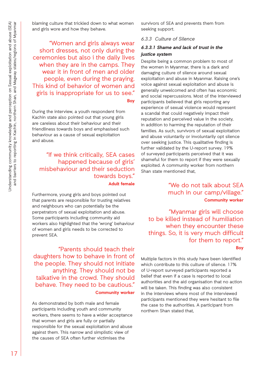blaming culture that trickled down to what women and girls wore and how they behave.

"Women and girls always wear short dresses, not only during the ceremonies but also i the daily lives when they are in the camps. They wear it in front of men and older people, even during the praying. This kind of behavior of women and girls is inappropriate for us to see." **Boy**

During the interview, a youth respondent from Kachin state also pointed out that young girls are careless about their behaviour and their friendliness towards boys and emphasised such behaviour as a cause of sexual exploitation and abuse.

## "If we think critically, SEA cases happened because of girls' misbehaviour and their seduction towards boys." **Adult female**

Furthermore, young girls and boys pointed out that parents are responsible for trusting relatives and neighbours who can potentially be the perpetrators of sexual exploitation and abuse. Some participants including community aid workers also highlighted that the 'wrong' behaviour of women and girls needs to be corrected to prevent SEA.

"Parents should teach their daughters how to behave in front of the people. They should not initiate anything. They should not be talkative in the crowd. They should behave. They need to be cautious." **Community worker** 

As demonstrated by both male and female participants including youth and community workers, there seems to have a wider acceptance that women and girls are fully or partially responsible for the sexual exploitation and abuse against them. This narrow and simplistic view of the causes of SEA often further victimises the

survivors of SEA and prevents them from seeking support.

#### *6.3.3 Culture of Silence*

#### **6.3.3.1 Shame and lack of trust in the justice system**

Despite being a common problem to most of the women in Myanmar, there is a dark and damaging culture of silence around sexual exploitation and abuse in Myanmar. Raising one's voice against sexual exploitation and abuse is generally unwelcomed and often has economic and social repercussions. Most of the interviewed participants believed that girls reporting any experience of sexual violence would represent a scandal that could negatively impact their reputation and perceived value in the society, in addition to harming the reputation of their families. As such, survivors of sexual exploitation and abuse voluntarily or involuntarily opt silence over seeking justice. This qualitative finding is further validated by the U-report survey. 19% of surveyed participants perceived that it was shameful for them to report if they were sexually exploited. A community worker from northern Shan state mentioned that,

# "We do not talk about SEA much in our camp/village."

**Community worker**

"Myanmar girls will choose to be killed instead of humiliation when they encounter these things. So, it is very much difficult for them to report."

**Boy**

Multiple factors in this study have been identified which contribute to this culture of silence. 17% of U-report surveyed participants reported a belief that even if a case is reported to local authorities and the aid organisation that no action will be taken. This finding was also consistent in the interviews where most of the interviewed participants mentioned they were hesitant to file the case to the authorities. A participant from northern Shan stated that,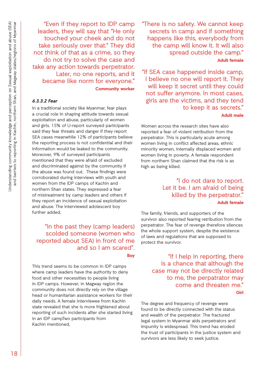"Even if they report to IDP camp leaders, they will say that "He only touched your cheek and do not take seriously over that." They did not think of that as a crime, so they do not try to solve the case and take any action towards perpetrator. Later, no one reports, and it became like norm for everyone." **Community worker**

#### **6.3.3.2 Fear**

In a traditional society like Myanmar, fear plays a crucial role in shaping attitude towards sexual exploitation and abuse, particularly of women and girls. 15% of U-report surveyed participants said they fear threats and danger if they report SEA cases meanwhile 12% of participants believe the reporting process is not confidential and their information would be leaked to the community. Moreover, 9% of surveyed participants mentioned that they were afraid of excluded and discriminated against by the community if the abuse was found out. These findings were corroborated during interviews with youth and women from the IDP camps of Kachin and northern Shan states. They expressed a fear of mistreatment by camp leaders and others if they report an incidence of sexual exploitation and abuse. The interviewed adolescent boy further added,

## "In the past they (camp leaders) scolded someone (women who reported about SEA) in front of me and so I am scared". **Boy**

This trend seems to be common in IDP camps where camp leaders have the authority to deny food and other necessities to people living in IDP camps. However, in Magway region the community does not directly rely on the village head or humanitarian assistance workers for their daily needs. A female interviewee from Kachin state revealed that she is more frightened about reporting of such incidents after she started living in an IDP campTwo participants from Kachin mentioned,

"There is no safety. We cannot keep secrets in camp and if something happens like this, everybody from the camp will know it. It will also spread outside the camp." **Adult female**

"If SEA case happened inside camp, I believe no one will report it. They will keep it secret until they could not suffer anymore. In most cases, girls are the victims, and they tend to keep it as secrets." **Adult male**

Women across the research sites have also reported a fear of violent retribution from the perpetrator. This is particularly acute among women living in conflict affected areas, ethnic minority women, internally displaced women and women living in poverty. A female respondent from northern Shan claimed that the risk is as high as being killed.

## "I do not dare to report. Let it be. I am afraid of being killed by the perpetrator." **Adult female**

The family, friends, and supporters of the survivor also reported fearing retribution from the perpetrator. The fear of revenge therefore silences the whole support system, despite the existence of laws and regulations that are supposed to protect the survivor.

> "If I help in reporting, there is a chance that although the case may not be directly related to me, the perpatrator may come and threaten me."

**Girl**

The degree and frequency of revenge were found to be directly connected with the status and wealth of the perpetrator. The fractured legal system in Myanmar aids perpetrators and impunity is widespread. This trend has eroded the trust of participants in the justice system and survivors are less likely to seek justice.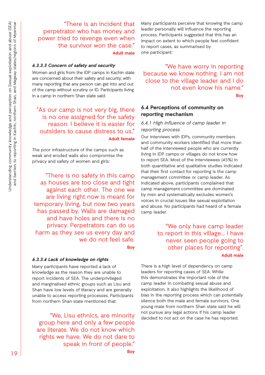"There is an incident that perpetrator who has money and power tried to revenge even when the survivor won the case." **Adult male**

#### **6.3.3.3 Concern of safety and security**

Women and girls from the IDP camps in Kachin state are concerned about their safety and security, with many reporting that any person can get into and out of the camp without scrutiny or ID. Participants living in a camp in northern Shan state said:

 "As our camp is not very big, there is no one assigned for the safety reason. I believe it is easier for outsiders to cause distress to us." **Adult female**

The poor infrastructure of the camps such as weak and eroded walls also compromise the privacy and safety of women and girls:

"There is no safety in this camp as houses are too close and tight against each other. The one we are living right now is meant for temporary living, but now two years has passed by. Walls are damaged and have holes and there is no privacy. Perpetrators can do us harm as they see us every day and we do not feel safe.

**Boy**

#### **6.3.3.4 Lack of knowledge on rights**

Many participants have reported a lack of knowledge as the reason they are unable to report incidents of SEA. The underprivileged and marginalised ethnic groups such as Lisu and Shan have low levels of literacy and are generally unable to access reporting processes. Participants from northern Shan state mentioned that:

"We, Lisu ethnics, are minority group here and only a few people are literate. We do not know which rights we have. We do not dare to speak in front of people."

Many participants perceive that knowing the camp leader personally will influence the reporting process. Participants suggested that this has an impact on extent to which people feel confident to report cases, as summarised by one participant:

"We have worry in reporting because we know nothing. I am not close to the village leader and I do not even know his name."

**Boy**

### **6.4 Perceptions of community on reporting mechanism**

## *6.4.1 High influence of camp leader in reporting process*

Our interviews with IDPs, community members and community workers identified that more than half of the interviewed people who are currently living in IDP camps or villages do not know how to report SEA. Most of the interviewees (45%) in both quantitative and qualitative studies indicated that their first contact for reporting is the camp management committee or camp leader. As indicated above, participants complained that camp management committee are dominated by men and systematically excludes women's voices in crucial issues like sexual exploitation and abuse. No participants had heard of a female camp leader.

> "We only have camp leader to report in this village... I have never seen people going to other places for reporting". **Adult male**

There is a high level of dependency on camp leaders for reporting cases of SEA. While this demonstrates the important role of the camp leader in combating sexual abuse and exploitation, it also highlights the likelihood of bias in the reporting process which can potentially silence both the male and female survivors. One young male from northern Shan state said he will not pursue any legal actions if his camp leader decided to not act on the case he has reported.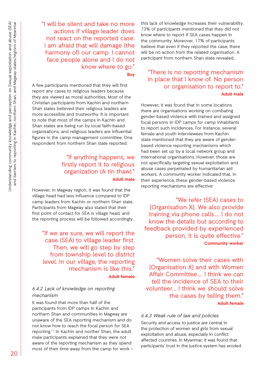"I will be silent and take no more actions if village leader does not react on the reported case. I am afraid that will damage (the harmony of) our camp. I cannot face people alone and I do not know where to go."

**Boy**

A few participants mentioned that they will first report any cases to religious leaders because they are viewed as moral authorities. Most of the Christian participants from Kachin and northern Shan states believed their religious leaders are more accessible and trustworthy. It is important to note that most of the camps in Kachin and Shan states are being run by local faith-based organisations, and religious leaders are influential figures in the camp management committee. One respondent from northern Shan state reported:

## "If anything happens, we firstly report it to religious organization (A tin thaw)." **Adult male**

However, in Magway region, it was found that the village head had less influence compared to IDP camp leaders from Kachin or northern Shan state. Participants from Magway also stated that their first point of contact for SEA is village head, and the reporting process will be followed accordingly.

"If we are sure, we will report the case (SEA) to village leader first. Then, we will go step by step from township level to district level. In our village, the reporting mechanism is like this." **Adult female**

### *6.4.2 Lack of knowledge on reporting mechanism*

It was found that more than half of the participants from IDP camps in Kachin and northern Shan and communities in Magway are unaware of the SEA reporting mechanism and do not know how to reach the focal person for SEA reporting.<sup>11</sup> In Kachin and norther Shan, the adult male participants explained that they were not aware of the reporting mechanism as they spend most of their time away from the camp for work –

this lack of knowledge increases their vulnerability. 73% of participants mentioned that they did not know where to report if SEA cases happen in the community. Moreover, 17% of participants believe that even if they reported the case, there will be no action from the related organisation. A participant from northern Shan state revealed,

## "There is no reporting mechanism in place that I know of. No person or organisation to report to." **Adult male**

However, it was found that in some locations there are organisations working on combating gender-based violence with trained and assigned focal persons in IDP camps for camp inhabitants to report such incidences. For instance, several female and youth interviewees from Kachin state mentioned that they are aware of genderbased violence reporting mechanisms which had been set up by a local network group and international organisations. However, those are not specifically targeting sexual exploitation and abuse cases perpetrated by humanitarian aid workers. A community worker indicated that, in their experience, these gender-based violence reporting mechanisms are effective:

"We refer (SEA) cases to [Organisation X]. We also provide training via phone calls…. I do not know the details but according to feedback provided by experienced person, it is quite effective." **Community worker** 

"Women solve their cases with [Organisation X] and with Women Affair Committee…. I think we can tell the incidence of SEA to their volunteer… I think we should solve the cases by telling them." **Adult female**

## *6.4.3 Weak rule of law and policies*

Security and access to justice are central in the protection of women and girls from sexual exploitation and abuse, especially in conflict affected countries. In Myanmar, it was found that participants' trust in the justice system has eroded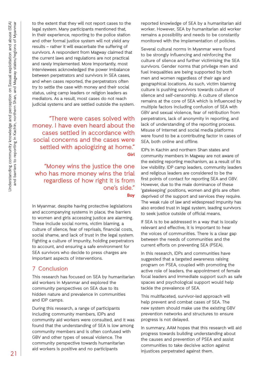to the extent that they will not report cases to the legal system. Many participants mentioned that, in their experience, reporting to the police station and other formal justice system will not yield any results – rather it will exacerbate the suffering of survivors. A respondent from Magway claimed that the current laws and regulations are not practical and rarely implemented. More importantly, most interviewees acknowledged the power imbalance between perpetrators and survivors in SEA cases, and when cases reported, the perpetrators often try to settle the case with money and their social status, using camp leaders or religion leaders as mediators. As a result, most cases do not reach judicial systems and are settled outside the system.

"There were cases solved with money. I have even heard about the cases settled in accordance with social concerns and the cases were settled with apologizing at home." **Girl**

"Money wins the justice the one who has more money wins the trial regardless of how right it is from one's side." **Boy**

In Myanmar, despite having protective legislations and accompanying systems in place, the barriers to women and girls accessing justice are alarming. These include social norms, victim blaming, a culture of silence, fear of reprisals, financial costs, social shame, and lack of trust in the legal system. Fighting a culture of impunity, holding perpetrators to account, and ensuring a safe environment for SEA survivors who decide to press charges are important aspects of interventions.

## 7 Conclusion

This research has focused on SEA by humanitarian aid workers in Myanmar and explored the community perspectives on SEA due to its hidden nature and prevalence in communities and IDP camps.

During this research, a range of participants including community members, IDPs and community aid workers were consulted, and it was found that the understanding of SEA is low among community members and is often confused with GBV and other types of sexual violence. The community perspective towards humanitarian aid workers is positive and no participants

reported knowledge of SEA by a humanitarian aid worker. However, SEA by humanitarian aid worker remains a possibility and needs to be constantly monitored with the implementation of policies.

Several cultural norms in Myanmar were found to be strongly influencing and reinforcing the culture of silence and further victimising the SEA survivors. Gender norms that privilege men and fuel inequalities are being supported by both men and women regardless of their age and geographical locations. As such, victim blaming culture is pushing survivors towards culture of silence and self-censorship. A culture of silence remains at the core of SEA which is influenced by multiple factors including confusion of SEA with GBV and sexual violence, fear of retribution from perpetrators, lack of anonymity in reporting, and lack of understanding of the reporting process. Misuse of internet and social media platforms were found to be a contributing factor in cases of SEA, both online and offline.

IDPs in Kachin and northern Shan states and community members in Magway are not aware of the existing reporting mechanism, as a result of its low visibility. IDP camp leaders, community leaders and religious leaders are considered to be the first points of contact for reporting SEA and GBV. However, due to the male dominance of these 'gatekeeping' positions, women and girls are often deprived of the support and services they require. The weak rule of law and widespread impunity has also eroded trust in legal system, leading survivors to seek justice outside of official means.

If SEA is to be addressed in a way that is locally relevant and effective, it is important to hear the voices of communities. There is a clear gap between the needs of communities and the current efforts on preventing SEA (PSEA).

In this research, IDPs and communities have suggested that a targeted awareness raising program on PSEA, coupled with promoting the active role of leaders, the appointment of female focal leaders and immediate support such as safe spaces and psychological support would help tackle the prevalence of SEA.

This multifaceted, survivor-led approach will help prevent and combat cases of SEA. The new system should make use the existing GBV prevention networks and structures to ensure progress is not delayed.

In summary, AAM hopes that this research will aid progress towards building understanding about the causes and prevention of PSEA and assist communities to take decisive action against injustices perpetrated against them.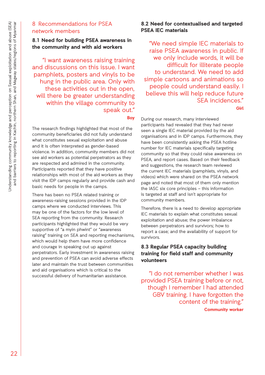## 8 Recommendations for PSEA network members

## **8.1 Need for building PSEA awareness in the community and with aid workers**

"I want awareness raising training and discussions on this issue. I want pamphlets, posters and vinyls to be hung in the public area. Only with these activities out in the open, will there be greater understanding within the village community to speak out."

**Boy**

The research findings highlighted that most of the community beneficiaries did not fully understand what constitutes sexual exploitation and abuse and it is often interpreted as gender-based violence. In addition, community members did not see aid workers as potential perpetrators as they are respected and admired in the community. Participants reported that they have positive relationships with most of the aid workers as they visit the IDP camps regularly and provide cash and basic needs for people in the camps.

There has been no PSEA related training or awareness-raising sessions provided in the IDP camps where we conducted interviews. This may be one of the factors for the low level of SEA reporting from the community. Research participants highlighted that they would be very supportive of "a myin phwint" or "awareness raising" training on SEA and reporting mechanisms, which would help them have more confidence and courage in speaking out up against perpetrators. Early investment in awareness raising and prevention of PSEA can avoid adverse effects later and maintain the trust between communities and aid organisations which is critical to the successful delivery of humanitarian assistance.

## **8.2 Need for contextualised and targeted PSEA IEC materials**

"We need simple IEC materials to raise PSEA awareness in public. If we only include words, it will be difficult for illiterate people to understand. We need to add simple cartoons and animations so people could understand easily. I believe this will help reduce future SEA incidences."

**Girl**

During our research, many interviewed participants had revealed that they had never seen a single IEC material provided by the aid organisations and in IDP camps. Furthermore, they have been consistently asking the PSEA hotline number for IEC materials specifically targeting community so that they could raise awareness on PSEA, and report cases. Based on their feedback and suggestions, the research team reviewed the current IEC materials (pamphlets, vinyls, and videos) which were shared on the PSEA network page and noted that most of them only mention the IASC six core principles – this information is targeted at staff and isn't appropriate for community members.

Therefore, there is a need to develop appropriate IEC materials to explain what constitutes sexual exploitation and abuse; the power imbalance between perpetrators and survivors; how to report a case; and the availability of support for survivors.

## **8.3 Regular PSEA capacity building training for field staff and community volunteers**

"I do not remember whether I was provided PSEA training before or not, though I remember I had attended GBV training. I have forgotten the content of the training." **Community worker**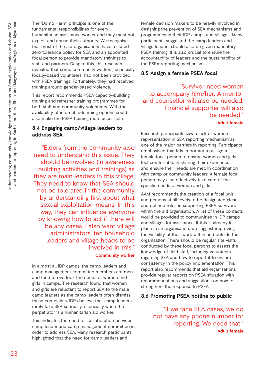The 'Do no Harm' principle is one of the fundamental responsibilities for every humanitarian assistance worker and they must not exploit and abuse their authority. We recognise that most of the aid organisations have a stated zero tolerance policy for SEA and an appointed focal person to provide mandatory trainings to staff and partners. Despite this, this research revealed that some community workers, especially locally-based volunteers, had not been provided with PSEA trainings. Fortunately, they had received training around gender-based violence.

This report recommends PSEA capacity-building training and refresher training programmes for both staff and community volunteers. With the availability of internet, e-learning options could also make the PSEA training more accessible.

## **8.4 Engaging camp/village leaders to address SEA**

"Elders from the community also need to understand this issue. They should be involved (in awareness building activities and trainings) as they are main leaders in this village. They need to know that SEA should not be tolerated in the community by understanding first about what sexual exploitation means. In this way, they can influence everyone by knowing how to act if there will be any cases. I also want village administrators, ten household leaders and village heads to be involved in this." **Community worker**

In almost all IDP camps, the camp leaders and camp management committee members are men, and tend to overlook the needs of women and girls in camps. The research found that women and girls are reluctant to report SEA to the male camp leaders as the camp leaders often dismiss these complaints. IDPs believe that camp leaders rarely take SEA seriously, especially when the perpetrator is a humanitarian aid worker.

This indicates the need for collaboration between camp leader and camp management committee in order to address SEA. Many research participants highlighted that the need for camp leaders and

female decision makers to be heavily involved in designing the prevention of SEA mechanisms and programmes in their IDP camps and villages. Many participants suggested the camp leaders and village leaders should also be given mandatory PSEA training. It is also crucial to ensure the accountability of leaders and the sustainability of the PSEA reporting mechanism.

## **8.5 Assign a female PSEA focal**

"Survivor need women to accompany him/her. A mentor and counsellor will also be needed. Financial supporter will also be needed."

### **Adult female**

Research participants saw a lack of women representation in SEA reporting mechanism as one of the major barriers in reporting. Participants emphasised that it is important to assign a female focal person to ensure women and girls feel comfortable in sharing their experiences and ensure their needs are met. In coordination with camp or community leaders, a female focal person may also effectively take care of the specific needs of women and girls.

AAM recommends the creation of a focal unit and persons at all levels to be designated clear and defined roles in supporting PSEA survivors within the aid organisation. A list of these contacts would be provided to communities in IDP camps and villages for assistance. If this is already in place in an organisation, we suggest improving the visibility of their work within and outside the organisation. There should be regular site visits conducted by these focal persons to assess the knowledge of field staff, including volunteers, regarding SEA and how to report it to ensure consistency in the policy implementation. This report also recommends that aid organisations provide regular reports on PSEA situation with recommendations and suggestions on how to strengtheni the response to PSEA.

## **8.6 Promoting PSEA hotline to public**

"If we face SEA cases, we do not have any phone number for reporting. We need that." **Adult female**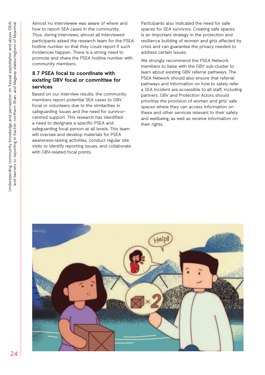Almost no interviewee was aware of where and how to report SEA cases in the community. Thus, during interviews, almost all interviewed participants asked the research team for the PSEA hotline number so that they could report if such incidences happen. There is a strong need to promote and share the PSEA hotline number with community members.

## **8.7 PSEA focal to coordinate with existing GBV focal or committee for services**

Based on our interview results, the community members report potential SEA cases to GBV focal or volunteers due to the similarities in safeguarding issues and the need for survivorcentred support. This research has identified a need to designate a specific PSEA and safeguarding focal person at all levels. This team will oversee and develop materials for PSEA awareness-raising activities, conduct regular site visits to identify reporting issues, and collaborate with GBV-related focal points.

Participants also indicated the need for safe spaces for SEA survivors. Creating safe spaces is an important strategy in the protection and resilience building of women and girls affected by crisis and can guarantee the privacy needed to address certain issues.

We strongly recommend the PSEA Network members to liaise with the GBV sub-cluster to learn about existing GBV referral pathways. The PSEA Network should also ensure that referral pathways and information on how to safely refer a SEA incident are accessible to all staff, including partners. GBV and Protection Actors should prioritise the provision of women and girls' safe spaces where they can access information on these and other services relevant to their safety and wellbeing, as well as receive information on their rights.

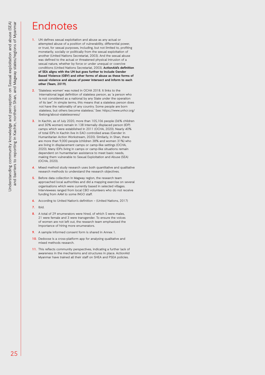# Endnotes

- **1.** UN defines sexual exploitation and abuse as any actual or attempted abuse of a position of vulnerability, differential power, or trust, for sexual purposes, including, but not limited to, profiting monetarily, socially or politically from the sexual exploitation of another (United Nations Secretariat, 2003). And the sexual abuse was defined to the actual or threatened physical intrusion of a sexual nature, whether by force or under unequal or coercive conditions (United Nations Secretariat, 2003). **ActionAid's definition of SEA aligns with the UN but goes further to include Gender Based Violence (GBV) and other forms of abuse as these forms of sexual violence and abuse of power intersect and inform to each other (Team, 2019).**
- **2.** ' Stateless women' was noted in OCHA 2018. It links to the international legal definition of stateless person, as 'a person who is not considered as a national by any State under the operation of its law". In simple terms, this means that a stateless person does not have the nationality of any country. Some people are born stateless, but others become stateless.' See: https://www.unhcr.org/ ibelong/about-statelessness/
- **3.** In Kachin, as of July 2020, more than 105,106 people (36% children and 30% women) remain in 138 internally displaced person (IDP) camps which were established in 2011 (OCHA, 2020). Nearly 40% of total IDPs in Kachin live in EAO controlled areas (Gender in Humanitarian Action Workstream, 2020). Similarly, in Shan, there are more than 9,000 people (children 38% and women 31%) who are living in displacement camps or camp-like settings (OCHA, 2020). Many IDPs living in camps or camp-like situations remain dependent on humanitarian assistance to meet basic needs, making them vulnerable to Sexual Exploitation and Abuse (SEA) (OCHA, 2020).
- **4.** Mixed method study research uses both quantitative and qualitative research methods to understand the research objectives.
- **5.** Before data collection in Magway region, the research team approached local authorities and did a mapping exercise on several organisations which were currently based in selected villages. Interviewees ranged from local CBO volunteers who do not receive funding from AAM to some INGO staff.
- **6.** According to United Nation's definition (United Nations, 2017)
- **7.** Ibid.
- **8.** A total of 29 enumerators were hired, of which 5 were males, 21 were female and 3 were transgender. To ensure the voices of women are not left out, the research team emphasised the importance of hiring more enumerators.
- **9.** A sample informed consent form is shared in Annex 1.
- 10. Dedoose is a cross-platform app for analysing qualitative and mixed methods research.
- **11.** This reflects community perspectives, indicating a further lack of awareness in the mechanisms and structures in place. ActionAid Myanmar have trained all their staff on SHEA and PSEA policies.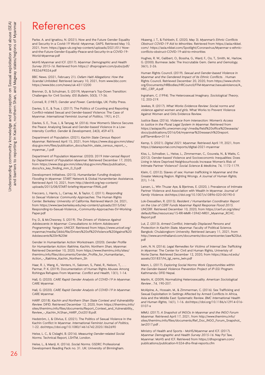# References

Parke. A. and Ignatiou, N. (2021). Now and the Future Gender Equality and Security in a Covid-19 World -Myanmar, GAPS. Retrieved May 10, 2021, from: https://gaps-uk.org/wp-content/uploads/2021/01/ Nowand-the-Future-Gender-Equality-Peace-and-Security-in-a-COVID-19- World-Myanmar.pdf

MoHS Myanmar and ICF. (2017). *Myanmar Demographic and Health Survey 2015-16*. Retrieved from https:// dhsprogram.com/pubs/pdf/ FR324/FR324.pdf

BBC News. (2021, February 21). *Oxfam Haiti Allegations: How the Scandal Unfolded*. Retrieved January 10, 2021, from www.bbc.com: https://www.bbc.com/news/uk-43112200

Brenner, D., & Schulman, S. (2019). Myanmar's Top-Down Transition: Challenges for Civil Society. *IDS Bulletin*, 50(3), 17-36.

Connell, R. (1987). *Gender and Power*. Cambridge, UK: Polity Press.

Davies, S. E., & True, J. (2017). The Politics of Counting and Reporting Conflict-related Sexual and Gender-based Violence: The Case of Myanmar. *International Feminist Journal of Politics*, 19(1), 4-21.

Davies, S. E., True, J., & Tanyag, M. (2016). How Women's Silence Secures the Peace: Analysing Sexual and Gender-based Violence in a Lowintensity Conflict. *Gender & Development*, 24(3), 459-473.

Department of Population. (2021). *Kachin State Census Report Myanmar*. Retrieved April 15, 2021, from https://www.dop.gov.mm/sites/ dop.gov.mm/files/publication\_docs/kachin\_state\_census\_report\_-\_ myanmar\_1.pdf

Department of Population Myanmar. (2020). 2019 *Inter-censal Report by Department of Population Myanmar*. Retrieved December 17, 2020, from https://www.dop.gov.mm/sites/dop.gov.mm/files/publication\_ docs/ics\_key\_finding\_mm\_0\_0.pdf

Development Initiatives. (2015). *Humanitarian Funding Analysis: Flooding in Myanmar.* START Network & Global Hunamiterian Assistance. Retrieved April 10, 2021, from http://devinit.org/wp-content/ uploads/2015/08/START-briefing-Myanmar-FINAL.pdf

Freccero, J., Harris, L., Carnay, M., & Taylor, C. (2011). *Responding to Sexual Violence: Community Approaches*. The Human Rights Center. Berkeley: University of California. Retrieved March 24, 2021, from https://www.law.berkeley.edu/wp-content/uploads/2015/04/ Responding-to-Sexual-Violence\_-Community-Approaches-SV-Working-Paper.pdf

Fry, D., & McChesney, S. (2019). *The Drivers of Violence Against Adolescents in Myanmar: Consultations to Inform Adolescent Programming.* Yangon: UNICEF. Retrieved from https://www.unicef.org/ myanmar/media/3466/file/Drivers%20of%20Violence%20Against%20 Adolescents%20in%20M

Gender in Humanitarian Action Workstream. (2020). *Gender Profile for Humanitarian Action: Rakhine, Kachin, Northern Shan, Myanmar.*  Retrieved December 10, 2020, from https://www.themimu.info/sites/ themimu.info/files/documents/Gender\_Profile\_for\_Humanitarian\_ Action\_-\_Rakhine\_Kachin\_Northern\_Sh

Haar, R. J., Wang, K., Venters, H., Salonen, S., Patel, R., Nelson, T., . . Parmar, P. K. (2019). Documentation of Human Rights Abuses Among Rohingya Refugees From Myanmar. *Conflict and Health,* 13(1), 1-14.

Hall, G. (2020). *CARE Rapid Gender Analysis of COVID-19 in Myanmar.* CARE Myanmar.

Hall, G. (2020). *CARE Rapid Gender Analysis of COVID-19 in Myanmar.*  CARE Myanmar.

HARP. (2018). *Kachin and Northern Shan State Context and Vulnerability Review.* DIFID. Retrieved December 12, 2020, from https://themimu.info/ sites/themimu.info/files/documents/Report\_Context\_and\_Vulnerability\_ Review\_-\_Kachin\_N.Shan\_HARP\_Oct2018.pdf.

Hedström, J., & Olivius, E. (2021). The Politics of Sexual Violence in the Kachin Conflict in Myanmar. *International Feminist Journal of Politics,*  1-22. doi:https://doi.org/10.1080/14616742.2020.1862690

Heise, L. C., & Cislaghi, B. (2016). *Measuring Gender-related Social Norms.* Technical Report, LSHTM, London.

Heise, L., & Manji, K. (2016). *Social Norms.* GSDRC Professional Development Reading Pack no. 31. UK: University of Birmingham.

Hkawng, J. T., & Fishbein, E. (2020, May 3). *Myanmar's Ethnic Conflicts Obstruct COVID-19 Aid to Minorities.* Retrieved from https://asia.nikkei. com/: https://asia.nikkei.com/Spotlight/Coronavirus/Myanmar-s-ethnicconflicts-obstruct-COVID-19-aid-to-minorities

Hughes, R. W., Galibert, O., Bossha, G., Ward, F., Oo, T., Smith, M., Harlow, G. (2000). Burmese Jade: The Inscrutable Gem. *Gems and Gemology,*  36(1), 2-26.

Human Rights Council. (2019). *Sexual and Gender-based Violence in Myanmar and the Gendered Impact of its Ethnic Conflicts.* . Human Rights Council. Retrieved December 20, 2020, from https://www.ohchr. org/Documents/HRBodies/HRCouncil/FFM-Myanmar/sexualviolence/A\_ HRC\_CRP\_4.pdf

Ingraham, C. (1994). The Heterosexual Imaginary. *Sociological Theory*, 12, 203-219.

Jewkes, R. (2017). *What Works Evidence Review: Social norms and violence against women and girls.* What Works to Prevent Violence Against Women and Girls Evidence Review.

Justice Base. (2016). *Violence from Intersection: Women's Access to Justice in the Plural Legal System in Myanmar.* Retrieved from https://asiapacific.unwomen.org/-/media/field%20office%20eseasia/ docs/publications/2016/04/myanmar%20research%20report. pdf?la=en&vs=3114

Kemp, S. (2021). *Digital 2021: Myanmar.* Retrieved April 19, 2021, from https://datareportal.com/reports/digital-2021-myanmar

Kiss, L., Schraiber, L., Heise, L., Zimmerman, C., Gouveia, N., & Watts, C. (2012). Gender-based Violence and Socioeconomic Inequalities: Does Living in More Deprived Neighbourhoods Increase Women's Risk of Intimate Partner Violence? *Social Science & Medicine,* 74, 1172-1179.

Klein, C. (2012). Slaves of sex: Human trafficking in Myanmar and the Greater Mekong Region. Righting Wrongs. *A Journal of Human Rights,* 2(1), 1-16.

Larsen, L., Win Thuzar Aye, & Bjertnes, E. (2020, ). Prevalence of Intimate Partner Violence and Association with Wealth in Myanmar. *Journal of Family Violence.* doi:https://doi.org/10.1007/s10896-020-00190-0

Lok-Dessallien, R. (2015). *Resident / Humanitarian Coordinator Report on the Use of CERF Funds Myanmar Rapid Response Flood 2015.*  UNCERF. Retrieved December 10, 2020, from https://cerf.un.org/sites/ default/files/resources/15-RR-MMR-15942-NR01\_Myanmar\_RCHC. Report.pdf

Lut, Z. (2013). *Armed Conflict, Internally Displaced Persons and Protection in Kachin State, Myanmar.* Faculty of Political Science. Bangkok: Chulalongkorn University. Retrieved January 11, 2021, from http://www.arcmthailand.com/documents/documentcenter/zaw%20lut. pdf

Lwin, N. N. (2016). *Legal Remedies for Victims of Internal Sex Trafficking in Myanmar.* The Center for Civil and Human Rights, Univeristy of Norte Dame. Retrieved December 12, 2020, from https://klau.nd.edu/ assets/331837/ht\_lgl\_rems\_lwin.pdf

Mann, L. (2017). *Exploring Social Norms Work Opportunities within the Gender-based Violence Prevention Project of IP-SSJ Program.*  Kathmandu: DFID Nepal.

Martin, K. (2009). Normalizing Heterosexuality. *American Sociological Review* , 74, 190-207.

McAlpine, A., Hossain, M., & Zimmerman, C. (2016). Sex Trafficking and Sexual Exploitation in Settings Affected by Armed Conflicts in Africa, Asia and the Middle East: Systematic Review. *BMC International Health and Human Rights,* 16(1), 1-16. doi:https://doi.org/10.1186/s12914-016- 0107-x

MIMU. (2017). *A Snapshot of INGOs in Myanmar and the INGO Forum Myanmar.* Retrieved April 17, 2021, from http://www.themimu.info/ sites/themimu.info/files/documents/Ref\_Doc\_INGO\_Forum\_Snapshot\_ Jan2017.pdf .

Ministry of Health and Sports - MoHS/Myanmar and ICF. (2017). *Myanmar Demographic and Health Survey 2015-16.* Nay Pyi Taw, Myanmar: MoHS and ICF. Retrieved from https://dhsprogram.com/ publications/publication-fr324-dhs-final-reports.cfm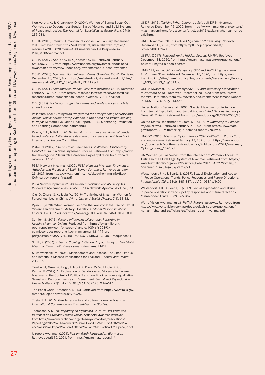Norsworthy, K., & Khuankaew, O. (2004). Women of Burma Speak Out: Workshops to Deconstruct Gender-Based Violence and Build Systems of Peace and Justice. *The Journal for Specialists in Group Work,* 29(3), 259-283.

OCHA, (2018). Interim Humanitan Response Plan: January-December 2018. retrieved from: https://reliefweb.int/sites/reliefweb.int/files/ resources/2018%20Interim%20Humanitarian%20Response%20 Plan\_%20Myanmar.pdf

OCHA. (2019). About OCHA *Myanmar.* OCHA. Retrieved February Saturday, 2021, from https://www.unocha.org/myanmar/about-ochamyanmar: https://www.unocha.org/myanmar/about-ocha-myanmar

OCHA. (2020). *Myanmar Humanitarian Needs Overview.* OCHA. Retrieved December 10, 2020, from https://reliefweb.int/sites/reliefweb.int/files/ resources/MMR\_HNO\_2020\_FINAL\_131219.pdf

OCHA. (2021). *Humanitarian Needs Overview Myanmar.* OCHA. Retrieved February 16, 2021, from https://reliefweb.int/sites/reliefweb.int/files/ resources/mmr\_humanitarian\_needs\_overview\_2021\_final.pdf

ODI. (2015). *Social norms, gender norms and adolescent girls: a brief guide.* London.

Palladium. (2016). *Integrated Programme for Strengthening Security and Justice: Social norms driving violence in the home and justice-seeking in Nepal.* Midterm Evaluation Final Report, IP-SSJ Monitoring, Evaluation and Learning Component, Kathmandu.

Paluck, E. L., & Ball, L. (2010). *Social norms marketing aimed at gender based violence: A literature review and critical assessment.* New York: International Rescue Committee.

Pistor, N. (2017). *Life on Hold: Experiences of Women Displaced by Conflict in Kachin State, Myanmar.* Trocaire. Retrieved from https://www. trocaire.org/sites/default/files/resources/policy/life-on-hold-trocaireoxfam-2017.pdf

PSEA Network Myanmar. (2020). *PSEA Network Myanmar Knowledge, Attitudes and Practices of Staff: Survey Summary.* Retrieved January 23, 2021, from https://www.themimu.info/sites/themimu.info/files/ KAP\_survey\_report\_final.pdf.

PSEA Network Myanmar. (2020). *Sexual Exploitation and Abuse by Aid Workers in Myanmar: A Risk Analysis.* PSEA Network Myanmar. doi:June (). p4.

Qiu, G., Zhang, S. X., & Liu, W. (2019). Trafficking of Myanmar Women for Forced Marriage in China. *Crime, Law and Social Change,* 7(1), 35-52.

Ryan, S. (2020). When Women Become the War Zone: the Use of Sexual Violence in Myanmar's Military Operations. *Global Responsibility to Protect,* 12(1), 37-63. doi:https://doi.org/10.1163/1875984X-01201004

Semler, M. (2019). *Factors Influencing Misconduct Reporting in Kachin, Myanmar.* Oxfam. Retrieved from https://oxfamilibrary. openrepository.com/bitstream/handle/10546/620893/ cs-misconduct-reporting-kachin-myanmar-121119-en. pdf;jsessionid=35A392D5B0EDA8166E714BC3EC22407F?sequence=1

Smith, R. (2006). *A Hen is Crowing: A Gender Impact Study of Two UNDP Myanmar Community Development Programs.* UNDP.

Suwanvanichkij, V. (2008). Displacement and Disease: The Shan Exodus and Infectious Disease Implications for Thailand. *Conflict and Health,*  2(1), 1-5.

Tanabe, M., Greer, A., Leigh, J., Modi, P., Davis, W. W., Mhote, P. P., . Parmar, P. (2019). An Exploration of Gender-based Violence in Eastern Myanmar in the Context of Political Transition: Findings from a Qualitative Sexual and Reproductive Health Assessment. *Sexual and Reproductive Health Matters,* 27(2). doi:10.1080/26410397.2019.1665161

The Penal Code -Amended. (2016). Retrieved from https://www.mlis.gov. mm/lsScPop.do?lawordSn=9506%20

Thein, P. T. (2015). Gender equality and cultural norms in Myanmar. *International Conference on Burma/Myanmar Studies.* 

Thompson, A. (2020). *Reporting on Myanmar's Covid-19 First Wave and its Impact on Civic and Political Space.* ActionAid Myanmar. Retrieved from https://myanmar.actionaid.org/sites/myanmar/files/publications/ Reporting%20on%20Myanmar%27s%20Covid-19%20First%20Wave%20 and%20its%20Impact%20on%20Civic%20and%20Political%20Space\_3.pdf

U report Myanmar. (2021). *Poll on Youth Participation (Burmese).*  Retrieved April 10, 2021, from https://myanmar.ureport.in/

UNDP. (2019). *Tackling What Cannot be Said .* UNDP in Myanmar. Retrieved December 19, 2020, from https://www.mm.undp.org/content/ myanmar/en/home/presscenter/articles/2019/tackling-what-cannot-besaid html.

UNDP Myanmar. (2019). *UNA063 Myanmar CR trafficking.* Retrieved December 12, 2020, from http://mptf.undp.org/factsheet/ project/00116960

UNFPA. (2017). *Powerful Myths Hidden Secrets.* UNFPA. Retrieved December 13, 2020, from https://myanmar.unfpa.org/en/publications/ powerful-myths-hidden-secrets

UNFPA Myanmar. (2014). *Interagency GBV and Trafficking Assessment in Northern Shan.* Retrieved December 10, 2020, from http://www. themimu.info/sites/themimu.info/files/documents/Assessment\_Report\_ in\_NSS\_GBVSS\_Aug2014.pdf.

UNFPA Myanmar. (2014). *Interagency GBV and Trafficking Assessment in Northern Shan. .* Retrieved December 20, 2020, from http://www. themimu.info/sites/themimu.info/files/documents/Assessment\_Report\_ in\_NSS\_GBVSS\_Aug2014.pdf

United Nations Secretariat. (2003). Special Measures for Protection from Sexual Exploitation and Sexual Abuse. *United Nations Secretary-General's Bulletin.* Retrieved from https://undocs.org/ST/SGB/2003/13

United States Department of State. (2020). 2019 *Trafficking in Persons Report: Burma.* Retrieved February 21, 2021, from https://www.state. gov/reports/2019-trafficking-in-persons-report-2/burma.

UNODC. (2020). *Myanmar Opium Survey 2020 Cultivation, Production, and Implications.* Retrieved January 13, 2021, from https://www.unodc. org/documents/southeastasiaandpacific//Publications/2021/Myanmar\_ Opium\_survey\_2020.pdf.

UN Women. (2016). Voices from the Intersection: Women's Access to Justice in the Plural Legal System of Myanmar. Retrieved from: https:// www.burmalibrary.org/docs22/Justice\_Base-2016-04-22-Women\_in Myanmar-Plural\_ legal\_systems.pdf

Westendorf , J.-K., & Searle, L. (2017). Sexual Exploitation and Abuse in Peace Operations: Trends, Policy Responses and Future Directions. *International Affairs,* 93(2), 365–387. doi:10.1093/ia/iix001

Westendorf, J. K., & Searle, L. (2017). Sexual exploitation and abuse in peace operations: trends, policy responses and future directions. *International Affairs,* 93(2), 365-387.

World Vision Myanmar. (n.d.). *Traffick Report: Myanmar.* Retrieved from https://www.worldvision.com.au/docs/default-source/publications/ human-rights-and-trafficking/trafficking-report-myanmar.pdf